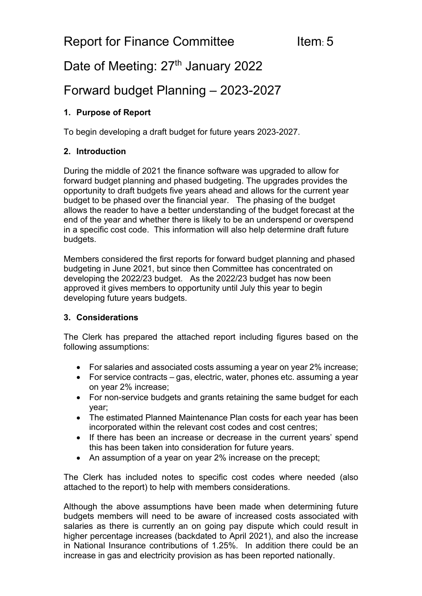# Date of Meeting: 27<sup>th</sup> January 2022

## Forward budget Planning – 2023-2027

### **1. Purpose of Report**

To begin developing a draft budget for future years 2023-2027.

#### **2. Introduction**

During the middle of 2021 the finance software was upgraded to allow for forward budget planning and phased budgeting. The upgrades provides the opportunity to draft budgets five years ahead and allows for the current year budget to be phased over the financial year. The phasing of the budget allows the reader to have a better understanding of the budget forecast at the end of the year and whether there is likely to be an underspend or overspend in a specific cost code. This information will also help determine draft future budgets.

Members considered the first reports for forward budget planning and phased budgeting in June 2021, but since then Committee has concentrated on developing the 2022/23 budget. As the 2022/23 budget has now been approved it gives members to opportunity until July this year to begin developing future years budgets.

#### **3. Considerations**

The Clerk has prepared the attached report including figures based on the following assumptions:

- For salaries and associated costs assuming a year on year 2% increase;
- For service contracts gas, electric, water, phones etc. assuming a year on year 2% increase;
- For non-service budgets and grants retaining the same budget for each year;
- The estimated Planned Maintenance Plan costs for each year has been incorporated within the relevant cost codes and cost centres;
- If there has been an increase or decrease in the current years' spend this has been taken into consideration for future years.
- An assumption of a year on year 2% increase on the precept;

The Clerk has included notes to specific cost codes where needed (also attached to the report) to help with members considerations.

Although the above assumptions have been made when determining future budgets members will need to be aware of increased costs associated with salaries as there is currently an on going pay dispute which could result in higher percentage increases (backdated to April 2021), and also the increase in National Insurance contributions of 1.25%. In addition there could be an increase in gas and electricity provision as has been reported nationally.